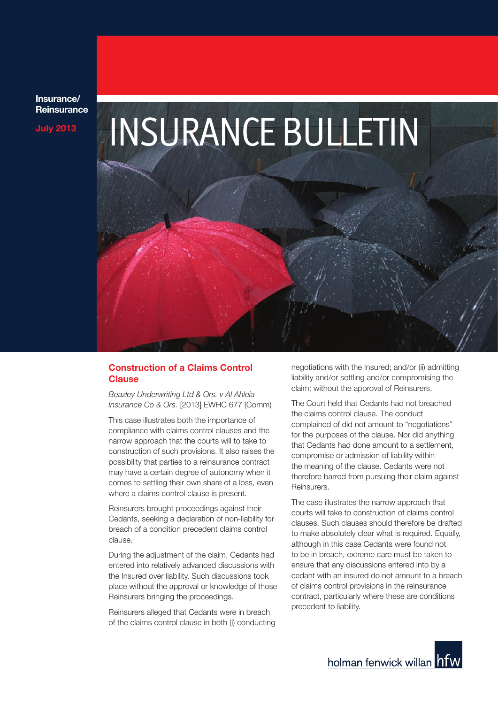**Insurance/ Reinsurance**



# **Construction of a Claims Control Clause**

*Beazley Underwriting Ltd & Ors. v Al Ahleia Insurance Co & Ors.* [2013] EWHC 677 (Comm)

This case illustrates both the importance of compliance with claims control clauses and the narrow approach that the courts will to take to construction of such provisions. It also raises the possibility that parties to a reinsurance contract may have a certain degree of autonomy when it comes to settling their own share of a loss, even where a claims control clause is present.

Reinsurers brought proceedings against their Cedants, seeking a declaration of non-liability for breach of a condition precedent claims control clause.

During the adjustment of the claim, Cedants had entered into relatively advanced discussions with the Insured over liability. Such discussions took place without the approval or knowledge of those Reinsurers bringing the proceedings.

Reinsurers alleged that Cedants were in breach of the claims control clause in both (i) conducting negotiations with the Insured; and/or (ii) admitting liability and/or settling and/or compromising the claim; without the approval of Reinsurers.

The Court held that Cedants had not breached the claims control clause. The conduct complained of did not amount to "negotiations" for the purposes of the clause. Nor did anything that Cedants had done amount to a settlement, compromise or admission of liability within the meaning of the clause. Cedants were not therefore barred from pursuing their claim against Reinsurers.

The case illustrates the narrow approach that courts will take to construction of claims control clauses. Such clauses should therefore be drafted to make absolutely clear what is required. Equally, although in this case Cedants were found not to be in breach, extreme care must be taken to ensure that any discussions entered into by a cedant with an insured do not amount to a breach of claims control provisions in the reinsurance contract, particularly where these are conditions precedent to liability.

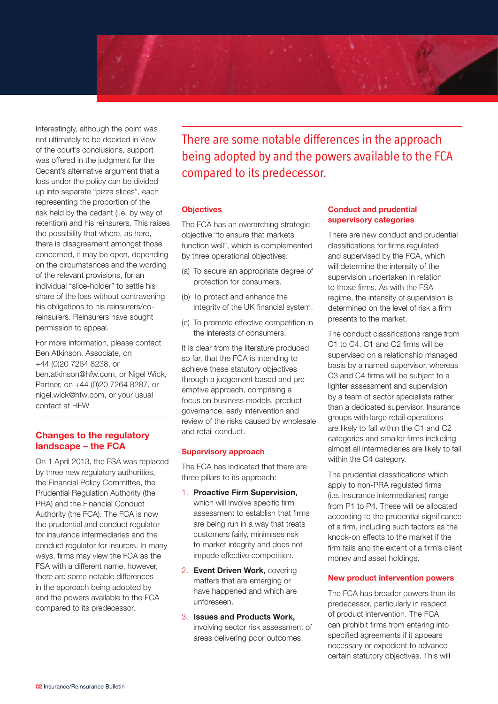

Interestingly, although the point was not ultimately to be decided in view of the court's conclusions, support was offered in the judgment for the Cedant's alternative argument that a loss under the policy can be divided up into separate "pizza slices", each representing the proportion of the risk held by the cedant (i.e. by way of retention) and his reinsurers. This raises the possibility that where, as here, there is disagreement amongst those concerned, it may be open, depending on the circumstances and the wording of the relevant provisions, for an individual "slice-holder" to settle his share of the loss without contravening his obligations to his reinsurers/coreinsurers. Reinsurers have sought permission to appeal.

For more information, please contact Ben Atkinson, Associate, on +44 (0)20 7264 8238, or ben.atkinson@hfw.com, or Nigel Wick, Partner, on +44 (0)20 7264 8287, or nigel.wick@hfw.com, or your usual contact at HFW

# **Changes to the regulatory landscape – the FCA**

On 1 April 2013, the FSA was replaced by three new regulatory authorities, the Financial Policy Committee, the Prudential Regulation Authority (the PRA) and the Financial Conduct Authority (the FCA). The FCA is now the prudential and conduct regulator for insurance intermediaries and the conduct regulator for insurers. In many ways, firms may view the FCA as the FSA with a different name, however, there are some notable differences in the approach being adopted by and the powers available to the FCA compared to its predecessor.

There are some notable differences in the approach being adopted by and the powers available to the FCA compared to its predecessor.

## **Objectives**

The FCA has an overarching strategic objective "to ensure that markets function well", which is complemented by three operational objectives:

- (a) To secure an appropriate degree of protection for consumers.
- (b) To protect and enhance the integrity of the UK financial system.
- (c) To promote effective competition in the interests of consumers.

It is clear from the literature produced so far, that the FCA is intending to achieve these statutory objectives through a judgement based and pre emptive approach, comprising a focus on business models, product governance, early intervention and review of the risks caused by wholesale and retail conduct.

# **Supervisory approach**

The FCA has indicated that there are three pillars to its approach:

- 1. **Proactive Firm Supervision,** which will involve specific firm assessment to establish that firms are being run in a way that treats customers fairly, minimises risk to market integrity and does not impede effective competition.
- 2. **Event Driven Work,** covering matters that are emerging or have happened and which are unforeseen.
- 3. **Issues and Products Work,** involving sector risk assessment of areas delivering poor outcomes.

## **Conduct and prudential supervisory categories**

There are new conduct and prudential classifications for firms regulated and supervised by the FCA, which will determine the intensity of the supervision undertaken in relation to those firms. As with the FSA regime, the intensity of supervision is determined on the level of risk a firm presents to the market.

The conduct classifications range from C1 to C4. C1 and C2 firms will be supervised on a relationship managed basis by a named supervisor, whereas C3 and C4 firms will be subject to a lighter assessment and supervision by a team of sector specialists rather than a dedicated supervisor. Insurance groups with large retail operations are likely to fall within the C1 and C2 categories and smaller firms including almost all intermediaries are likely to fall within the C4 category.

The prudential classifications which apply to non-PRA regulated firms (i.e. insurance intermediaries) range from P1 to P4. These will be allocated according to the prudential significance of a firm, including such factors as the knock-on effects to the market if the firm fails and the extent of a firm's client money and asset holdings.

#### **New product intervention powers**

The FCA has broader powers than its predecessor, particularly in respect of product intervention. The FCA can prohibit firms from entering into specified agreements if it appears necessary or expedient to advance certain statutory objectives. This will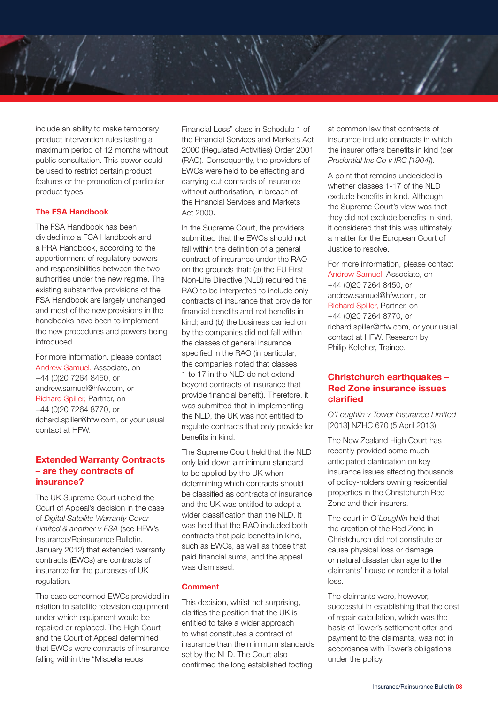include an ability to make temporary product intervention rules lasting a maximum period of 12 months without public consultation. This power could be used to restrict certain product features or the promotion of particular product types.

## **The FSA Handbook**

The FSA Handbook has been divided into a FCA Handbook and a PRA Handbook, according to the apportionment of regulatory powers and responsibilities between the two authorities under the new regime. The existing substantive provisions of the FSA Handbook are largely unchanged and most of the new provisions in the handbooks have been to implement the new procedures and powers being introduced.

For more information, please contact Andrew Samuel, Associate, on +44 (0)20 7264 8450, or andrew.samuel@hfw.com, or Richard Spiller, Partner, on +44 (0)20 7264 8770, or richard.spiller@hfw.com, or your usual contact at HFW.

# **Extended Warranty Contracts – are they contracts of insurance?**

The UK Supreme Court upheld the Court of Appeal's decision in the case of *Digital Satellite Warranty Cover Limited & another v FSA* (see HFW's Insurance/Reinsurance Bulletin, January 2012) that extended warranty contracts (EWCs) are contracts of insurance for the purposes of UK regulation.

The case concerned EWCs provided in relation to satellite television equipment under which equipment would be repaired or replaced. The High Court and the Court of Appeal determined that EWCs were contracts of insurance falling within the "Miscellaneous

Financial Loss" class in Schedule 1 of the Financial Services and Markets Act 2000 (Regulated Activities) Order 2001 (RAO). Consequently, the providers of EWCs were held to be effecting and carrying out contracts of insurance without authorisation, in breach of the Financial Services and Markets Act 2000.

In the Supreme Court, the providers submitted that the EWCs should not fall within the definition of a general contract of insurance under the RAO on the grounds that: (a) the EU First Non-Life Directive (NLD) required the RAO to be interpreted to include only contracts of insurance that provide for financial benefits and not benefits in kind; and (b) the business carried on by the companies did not fall within the classes of general insurance specified in the RAO (in particular, the companies noted that classes 1 to 17 in the NLD do not extend beyond contracts of insurance that provide financial benefit). Therefore, it was submitted that in implementing the NLD, the UK was not entitled to regulate contracts that only provide for benefits in kind.

The Supreme Court held that the NLD only laid down a minimum standard to be applied by the UK when determining which contracts should be classified as contracts of insurance and the UK was entitled to adopt a wider classification than the NLD. It was held that the RAO included both contracts that paid benefits in kind, such as EWCs, as well as those that paid financial sums, and the appeal was dismissed.

#### **Comment**

This decision, whilst not surprising, clarifies the position that the UK is entitled to take a wider approach to what constitutes a contract of insurance than the minimum standards set by the NLD. The Court also confirmed the long established footing

at common law that contracts of insurance include contracts in which the insurer offers benefits in kind (per *Prudential Ins Co v IRC [1904]*).

A point that remains undecided is whether classes 1-17 of the NLD exclude benefits in kind. Although the Supreme Court's view was that they did not exclude benefits in kind, it considered that this was ultimately a matter for the European Court of Justice to resolve.

For more information, please contact Andrew Samuel, Associate, on +44 (0)20 7264 8450, or andrew.samuel@hfw.com, or Richard Spiller, Partner, on +44 (0)20 7264 8770, or richard.spiller@hfw.com, or your usual contact at HFW. Research by Philip Kelleher, Trainee.

# **Christchurch earthquakes – Red Zone insurance issues clarified**

*O'Loughlin v Tower Insurance Limited* [2013] NZHC 670 (5 April 2013)

The New Zealand High Court has recently provided some much anticipated clarification on key insurance issues affecting thousands of policy-holders owning residential properties in the Christchurch Red Zone and their insurers.

The court in *O'Loughlin* held that the creation of the Red Zone in Christchurch did not constitute or cause physical loss or damage or natural disaster damage to the claimants' house or render it a total loss.

The claimants were, however, successful in establishing that the cost of repair calculation, which was the basis of Tower's settlement offer and payment to the claimants, was not in accordance with Tower's obligations under the policy.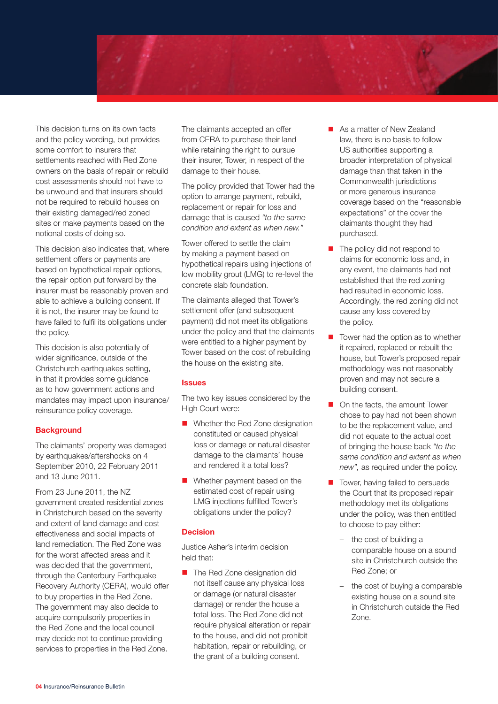This decision turns on its own facts and the policy wording, but provides some comfort to insurers that settlements reached with Red Zone owners on the basis of repair or rebuild cost assessments should not have to be unwound and that insurers should

not be required to rebuild houses on their existing damaged/red zoned sites or make payments based on the notional costs of doing so.

This decision also indicates that, where settlement offers or payments are based on hypothetical repair options, the repair option put forward by the insurer must be reasonably proven and able to achieve a building consent. If it is not, the insurer may be found to have failed to fulfil its obligations under the policy.

This decision is also potentially of wider significance, outside of the Christchurch earthquakes setting, in that it provides some guidance as to how government actions and mandates may impact upon insurance/ reinsurance policy coverage.

# **Background**

The claimants' property was damaged by earthquakes/aftershocks on 4 September 2010, 22 February 2011 and 13 June 2011.

From 23 June 2011, the NZ government created residential zones in Christchurch based on the severity and extent of land damage and cost effectiveness and social impacts of land remediation. The Red Zone was for the worst affected areas and it was decided that the government, through the Canterbury Earthquake Recovery Authority (CERA), would offer to buy properties in the Red Zone. The government may also decide to acquire compulsorily properties in the Red Zone and the local council may decide not to continue providing services to properties in the Red Zone.

The claimants accepted an offer from CERA to purchase their land while retaining the right to pursue their insurer, Tower, in respect of the damage to their house.

The policy provided that Tower had the option to arrange payment, rebuild, replacement or repair for loss and damage that is caused *"to the same condition and extent as when new."*

Tower offered to settle the claim by making a payment based on hypothetical repairs using injections of low mobility grout (LMG) to re-level the concrete slab foundation.

The claimants alleged that Tower's settlement offer (and subsequent payment) did not meet its obligations under the policy and that the claimants were entitled to a higher payment by Tower based on the cost of rebuilding the house on the existing site.

# **Issues**

The two key issues considered by the High Court were:

- Whether the Red Zone designation constituted or caused physical loss or damage or natural disaster damage to the claimants' house and rendered it a total loss?
- $\blacksquare$  Whether payment based on the estimated cost of repair using LMG injections fulfilled Tower's obligations under the policy?

# **Decision**

Justice Asher's interim decision held that:

n The Red Zone designation did not itself cause any physical loss or damage (or natural disaster damage) or render the house a total loss. The Red Zone did not require physical alteration or repair to the house, and did not prohibit habitation, repair or rebuilding, or the grant of a building consent.

- As a matter of New Zealand law, there is no basis to follow US authorities supporting a broader interpretation of physical damage than that taken in the Commonwealth jurisdictions or more generous insurance coverage based on the "reasonable expectations" of the cover the claimants thought they had purchased.
- $\blacksquare$  The policy did not respond to claims for economic loss and, in any event, the claimants had not established that the red zoning had resulted in economic loss. Accordingly, the red zoning did not cause any loss covered by the policy.
- Tower had the option as to whether it repaired, replaced or rebuilt the house, but Tower's proposed repair methodology was not reasonably proven and may not secure a building consent.
- $\blacksquare$  On the facts, the amount Tower chose to pay had not been shown to be the replacement value, and did not equate to the actual cost of bringing the house back *"to the same condition and extent as when new",* as required under the policy.
- $\blacksquare$  Tower, having failed to persuade the Court that its proposed repair methodology met its obligations under the policy, was then entitled to choose to pay either:
	- the cost of building a comparable house on a sound site in Christchurch outside the Red Zone; or
	- the cost of buying a comparable existing house on a sound site in Christchurch outside the Red Zone.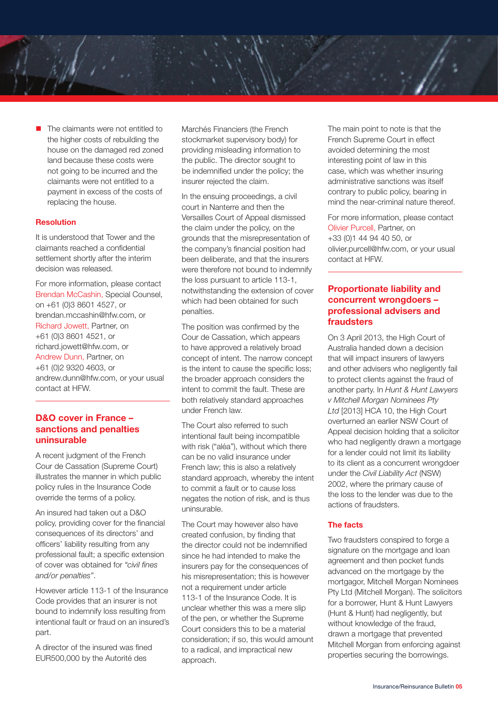The claimants were not entitled to the higher costs of rebuilding the house on the damaged red zoned land because these costs were not going to be incurred and the claimants were not entitled to a payment in excess of the costs of replacing the house.

## **Resolution**

It is understood that Tower and the claimants reached a confidential settlement shortly after the interim decision was released.

For more information, please contact Brendan McCashin, Special Counsel, on +61 (0)3 8601 4527, or brendan.mccashin@hfw.com, or Richard Jowett, Partner, on +61 (0)3 8601 4521, or richard.jowett@hfw.com, or Andrew Dunn, Partner, on +61 (0)2 9320 4603, or andrew.dunn@hfw.com, or your usual contact at HFW.

# **D&O cover in France – sanctions and penalties uninsurable**

A recent judgment of the French Cour de Cassation (Supreme Court) illustrates the manner in which public policy rules in the Insurance Code override the terms of a policy.

An insured had taken out a D&O policy, providing cover for the financial consequences of its directors' and officers' liability resulting from any professional fault; a specific extension of cover was obtained for *"civil fines and/or penalties"*.

However article 113-1 of the Insurance Code provides that an insurer is not bound to indemnify loss resulting from intentional fault or fraud on an insured's part.

A director of the insured was fined EUR500,000 by the Autorité des

Marchés Financiers (the French stockmarket supervisory body) for providing misleading information to the public. The director sought to be indemnified under the policy; the insurer rejected the claim.

In the ensuing proceedings, a civil court in Nanterre and then the Versailles Court of Appeal dismissed the claim under the policy, on the grounds that the misrepresentation of the company's financial position had been deliberate, and that the insurers were therefore not bound to indemnify the loss pursuant to article 113-1, notwithstanding the extension of cover which had been obtained for such penalties.

The position was confirmed by the Cour de Cassation, which appears to have approved a relatively broad concept of intent. The narrow concept is the intent to cause the specific loss; the broader approach considers the intent to commit the fault. These are both relatively standard approaches under French law.

The Court also referred to such intentional fault being incompatible with risk ("aléa"), without which there can be no valid insurance under French law; this is also a relatively standard approach, whereby the intent to commit a fault or to cause loss negates the notion of risk, and is thus uninsurable.

The Court may however also have created confusion, by finding that the director could not be indemnified since he had intended to make the insurers pay for the consequences of his misrepresentation; this is however not a requirement under article 113-1 of the Insurance Code. It is unclear whether this was a mere slip of the pen, or whether the Supreme Court considers this to be a material consideration; if so, this would amount to a radical, and impractical new approach.

The main point to note is that the French Supreme Court in effect avoided determining the most interesting point of law in this case, which was whether insuring administrative sanctions was itself contrary to public policy, bearing in mind the near-criminal nature thereof.

For more information, please contact Olivier Purcell, Partner, on +33 (0)1 44 94 40 50, or olivier.purcell@hfw.com, or your usual contact at HFW.

# **Proportionate liability and concurrent wrongdoers – professional advisers and fraudsters**

On 3 April 2013, the High Court of Australia handed down a decision that will impact insurers of lawyers and other advisers who negligently fail to protect clients against the fraud of another party. In *Hunt & Hunt Lawyers v Mitchell Morgan Nominees Pty Ltd* [2013] HCA 10, the High Court overturned an earlier NSW Court of Appeal decision holding that a solicitor who had negligently drawn a mortgage for a lender could not limit its liability to its client as a concurrent wrongdoer under the *Civil Liability Act* (NSW) 2002, where the primary cause of the loss to the lender was due to the actions of fraudsters.

### **The facts**

Two fraudsters conspired to forge a signature on the mortgage and loan agreement and then pocket funds advanced on the mortgage by the mortgagor, Mitchell Morgan Nominees Pty Ltd (Mitchell Morgan). The solicitors for a borrower, Hunt & Hunt Lawyers (Hunt & Hunt) had negligently, but without knowledge of the fraud, drawn a mortgage that prevented Mitchell Morgan from enforcing against properties securing the borrowings.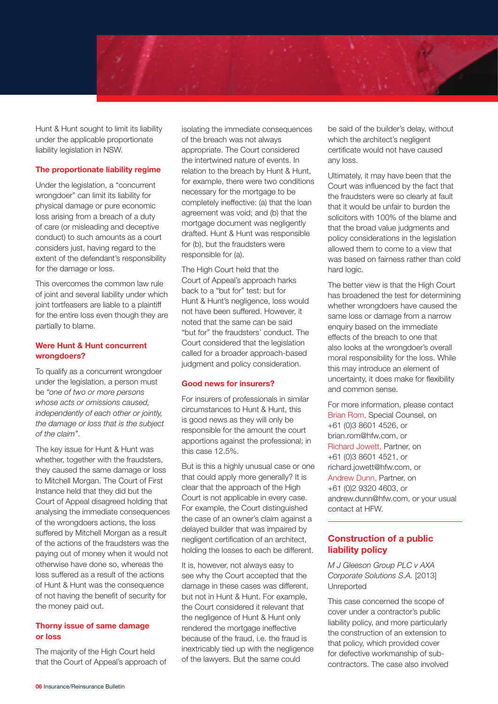

Hunt & Hunt sought to limit its liability under the applicable proportionate liability legislation in NSW.

#### **The proportionate liability regime**

Under the legislation, a "concurrent wrongdoer" can limit its liability for physical damage or pure economic loss arising from a breach of a duty of care (or misleading and deceptive conduct) to such amounts as a court considers just, having regard to the extent of the defendant's responsibility for the damage or loss.

This overcomes the common law rule of joint and several liability under which joint tortfeasers are liable to a plaintiff for the entire loss even though they are partially to blame.

## **Were Hunt & Hunt concurrent wrongdoers?**

To qualify as a concurrent wrongdoer under the legislation, a person must be *"one of two or more persons whose acts or omissions caused, independently of each other or jointly, the damage or loss that is the subject of the claim"*.

The key issue for Hunt & Hunt was whether, together with the fraudsters, they caused the same damage or loss to Mitchell Morgan. The Court of First Instance held that they did but the Court of Appeal disagreed holding that analysing the immediate consequences of the wrongdoers actions, the loss suffered by Mitchell Morgan as a result of the actions of the fraudsters was the paying out of money when it would not otherwise have done so, whereas the loss suffered as a result of the actions of Hunt & Hunt was the consequence of not having the benefit of security for the money paid out.

#### **Thorny issue of same damage or loss**

The majority of the High Court held that the Court of Appeal's approach of

isolating the immediate consequences of the breach was not always appropriate. The Court considered the intertwined nature of events. In relation to the breach by Hunt & Hunt, for example, there were two conditions necessary for the mortgage to be completely ineffective: (a) that the loan agreement was void; and (b) that the mortgage document was negligently drafted. Hunt & Hunt was responsible for (b), but the fraudsters were responsible for (a).

The High Court held that the Court of Appeal's approach harks back to a "but for" test: but for Hunt & Hunt's negligence, loss would not have been suffered. However, it noted that the same can be said "but for" the fraudsters' conduct. The Court considered that the legislation called for a broader approach-based judgment and policy consideration.

#### **Good news for insurers?**

For insurers of professionals in similar circumstances to Hunt & Hunt, this is good news as they will only be responsible for the amount the court apportions against the professional; in this case 12.5%.

But is this a highly unusual case or one that could apply more generally? It is clear that the approach of the High Court is not applicable in every case. For example, the Court distinguished the case of an owner's claim against a delayed builder that was impaired by negligent certification of an architect, holding the losses to each be different.

It is, however, not always easy to see why the Court accepted that the damage in these cases was different, but not in Hunt & Hunt. For example, the Court considered it relevant that the negligence of Hunt & Hunt only rendered the mortgage ineffective because of the fraud, i.e. the fraud is inextricably tied up with the negligence of the lawyers. But the same could

be said of the builder's delay, without which the architect's negligent certificate would not have caused any loss.

Ultimately, it may have been that the Court was influenced by the fact that the fraudsters were so clearly at fault that it would be unfair to burden the solicitors with 100% of the blame and that the broad value judgments and policy considerations in the legislation allowed them to come to a view that was based on fairness rather than cold hard logic.

The better view is that the High Court has broadened the test for determining whether wrongdoers have caused the same loss or damage from a narrow enquiry based on the immediate effects of the breach to one that also looks at the wrongdoer's overall moral responsibility for the loss. While this may introduce an element of uncertainty, it does make for flexibility and common sense.

For more information, please contact Brian Rom, Special Counsel, on +61 (0)3 8601 4526, or brian.rom@hfw.com, or Richard Jowett, Partner, on +61 (0)3 8601 4521, or richard.jowett@hfw.com, or Andrew Dunn, Partner, on +61 (0)2 9320 4603, or andrew.dunn@hfw.com, or your usual contact at HFW.

# **Construction of a public liability policy**

*M J Gleeson Group PLC v AXA Corporate Solutions S.A.* [2013] Unreported

This case concerned the scope of cover under a contractor's public liability policy, and more particularly the construction of an extension to that policy, which provided cover for defective workmanship of subcontractors. The case also involved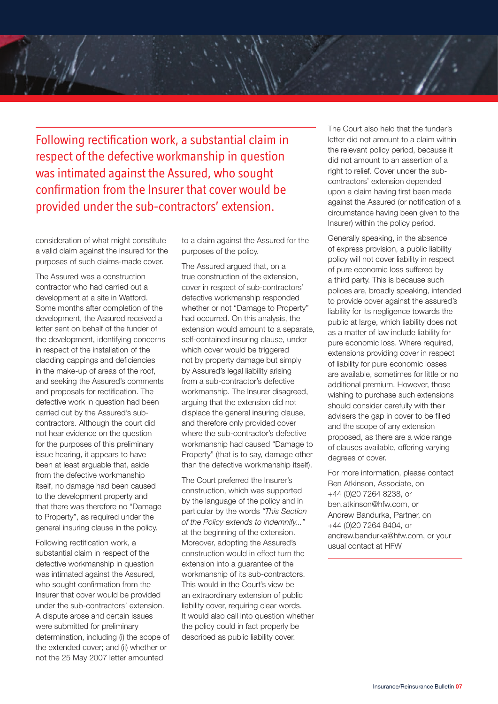Following rectification work, a substantial claim in respect of the defective workmanship in question was intimated against the Assured, who sought confirmation from the Insurer that cover would be provided under the sub-contractors' extension.

consideration of what might constitute a valid claim against the insured for the purposes of such claims-made cover.

The Assured was a construction contractor who had carried out a development at a site in Watford. Some months after completion of the development, the Assured received a letter sent on behalf of the funder of the development, identifying concerns in respect of the installation of the cladding cappings and deficiencies in the make-up of areas of the roof, and seeking the Assured's comments and proposals for rectification. The defective work in question had been carried out by the Assured's subcontractors. Although the court did not hear evidence on the question for the purposes of this preliminary issue hearing, it appears to have been at least arguable that, aside from the defective workmanship itself, no damage had been caused to the development property and that there was therefore no "Damage to Property", as required under the general insuring clause in the policy.

Following rectification work, a substantial claim in respect of the defective workmanship in question was intimated against the Assured, who sought confirmation from the Insurer that cover would be provided under the sub-contractors' extension. A dispute arose and certain issues were submitted for preliminary determination, including (i) the scope of the extended cover; and (ii) whether or not the 25 May 2007 letter amounted

to a claim against the Assured for the purposes of the policy.

The Assured argued that, on a true construction of the extension, cover in respect of sub-contractors' defective workmanship responded whether or not "Damage to Property" had occurred. On this analysis, the extension would amount to a separate, self-contained insuring clause, under which cover would be triggered not by property damage but simply by Assured's legal liability arising from a sub-contractor's defective workmanship. The Insurer disagreed, arguing that the extension did not displace the general insuring clause, and therefore only provided cover where the sub-contractor's defective workmanship had caused "Damage to Property" (that is to say, damage other than the defective workmanship itself).

The Court preferred the Insurer's construction, which was supported by the language of the policy and in particular by the words *"This Section of the Policy extends to indemnify..."* at the beginning of the extension. Moreover, adopting the Assured's construction would in effect turn the extension into a guarantee of the workmanship of its sub-contractors. This would in the Court's view be an extraordinary extension of public liability cover, requiring clear words. It would also call into question whether the policy could in fact properly be described as public liability cover.

The Court also held that the funder's letter did not amount to a claim within the relevant policy period, because it did not amount to an assertion of a right to relief. Cover under the subcontractors' extension depended upon a claim having first been made against the Assured (or notification of a circumstance having been given to the Insurer) within the policy period.

Generally speaking, in the absence of express provision, a public liability policy will not cover liability in respect of pure economic loss suffered by a third party. This is because such polices are, broadly speaking, intended to provide cover against the assured's liability for its negligence towards the public at large, which liability does not as a matter of law include liability for pure economic loss. Where required, extensions providing cover in respect of liability for pure economic losses are available, sometimes for little or no additional premium. However, those wishing to purchase such extensions should consider carefully with their advisers the gap in cover to be filled and the scope of any extension proposed, as there are a wide range of clauses available, offering varying degrees of cover.

For more information, please contact Ben Atkinson, Associate, on +44 (0)20 7264 8238, or ben.atkinson@hfw.com, or Andrew Bandurka, Partner, on +44 (0)20 7264 8404, or andrew.bandurka@hfw.com, or your usual contact at HFW